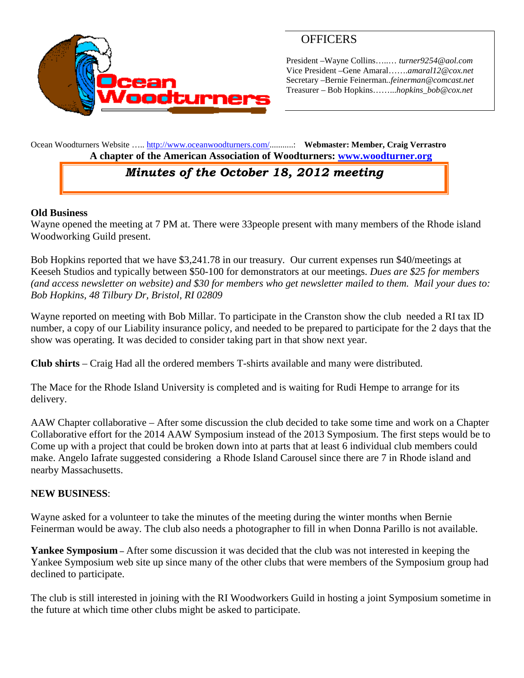

## **OFFICERS**

President –Wayne Collins…..… *turner9254@aol.com* Vice President –Gene Amaral…….*amaral12@cox.net* Secretary –Bernie Feinerman*..feinerman@comcast.net* Treasurer – Bob Hopkins……...*hopkins\_bob@cox.net*

Ocean Woodturners Website ….. <http://www.oceanwoodturners.com/>...........: **Webmaster: Member, Craig Verrastro A chapter of the American Association of Woodturners: [www.woodturner.org](http://www.woodturner.org/)**

# *Minutes of the October 18, 2012 meeting*

#### **Old Business**

Wayne opened the meeting at 7 PM at. There were 33people present with many members of the Rhode island Woodworking Guild present.

Bob Hopkins reported that we have \$3,241.78 in our treasury. Our current expenses run \$40/meetings at Keeseh Studios and typically between \$50-100 for demonstrators at our meetings. *Dues are \$25 for members (and access newsletter on website) and \$30 for members who get newsletter mailed to them. Mail your dues to: Bob Hopkins, 48 Tilbury Dr, Bristol, RI 02809*

Wayne reported on meeting with Bob Millar. To participate in the Cranston show the club needed a RI tax ID number, a copy of our Liability insurance policy, and needed to be prepared to participate for the 2 days that the show was operating. It was decided to consider taking part in that show next year.

**Club shirts** – Craig Had all the ordered members T-shirts available and many were distributed.

The Mace for the Rhode Island University is completed and is waiting for Rudi Hempe to arrange for its delivery.

AAW Chapter collaborative – After some discussion the club decided to take some time and work on a Chapter Collaborative effort for the 2014 AAW Symposium instead of the 2013 Symposium. The first steps would be to Come up with a project that could be broken down into at parts that at least 6 individual club members could make. Angelo Iafrate suggested considering a Rhode Island Carousel since there are 7 in Rhode island and nearby Massachusetts.

#### **NEW BUSINESS**:

Wayne asked for a volunteer to take the minutes of the meeting during the winter months when Bernie Feinerman would be away. The club also needs a photographer to fill in when Donna Parillo is not available.

**Yankee Symposium –** After some discussion it was decided that the club was not interested in keeping the Yankee Symposium web site up since many of the other clubs that were members of the Symposium group had declined to participate.

The club is still interested in joining with the RI Woodworkers Guild in hosting a joint Symposium sometime in the future at which time other clubs might be asked to participate.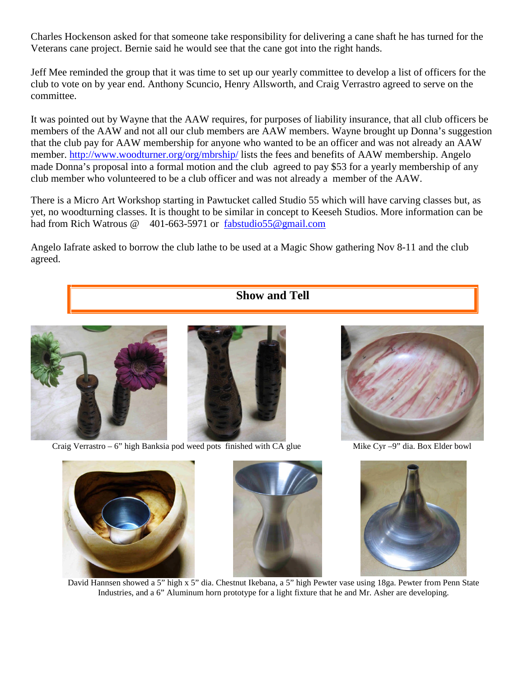Charles Hockenson asked for that someone take responsibility for delivering a cane shaft he has turned for the Veterans cane project. Bernie said he would see that the cane got into the right hands.

Jeff Mee reminded the group that it was time to set up our yearly committee to develop a list of officers for the club to vote on by year end. Anthony Scuncio, Henry Allsworth, and Craig Verrastro agreed to serve on the committee.

It was pointed out by Wayne that the AAW requires, for purposes of liability insurance, that all club officers be members of the AAW and not all our club members are AAW members. Wayne brought up Donna's suggestion that the club pay for AAW membership for anyone who wanted to be an officer and was not already an AAW member. <http://www.woodturner.org/org/mbrship/> lists the fees and benefits of AAW membership. Angelo made Donna's proposal into a formal motion and the club agreed to pay \$53 for a yearly membership of any club member who volunteered to be a club officer and was not already a member of the AAW.

There is a Micro Art Workshop starting in Pawtucket called Studio 55 which will have carving classes but, as yet, no woodturning classes. It is thought to be similar in concept to Keeseh Studios. More information can be had from Rich Watrous @ 401-663-5971 or [fabstudio55@gmail.com](mailto:fabstudio55@gmail.com)

Angelo Iafrate asked to borrow the club lathe to be used at a Magic Show gathering Nov 8-11 and the club agreed.



Craig Verrastro – 6" high Banksia pod weed pots finished with CA glue Mike Cyr –9" dia. Box Elder bowl









David Hannsen showed a 5" high x 5" dia. Chestnut Ikebana, a 5" high Pewter vase using 18ga. Pewter from Penn State Industries, and a 6" Aluminum horn prototype for a light fixture that he and Mr. Asher are developing.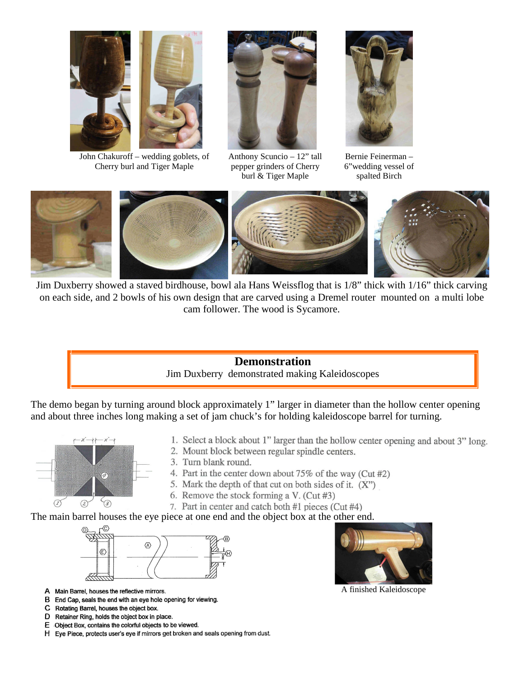

John Chakuroff – wedding goblets, of Cherry burl and Tiger Maple



Anthony Scuncio – 12" tall pepper grinders of Cherry burl & Tiger Maple



Bernie Feinerman – 6"wedding vessel of spalted Birch



Jim Duxberry showed a staved birdhouse, bowl ala Hans Weissflog that is 1/8" thick with 1/16" thick carving on each side, and 2 bowls of his own design that are carved using a Dremel router mounted on a multi lobe cam follower. The wood is Sycamore.



The demo began by turning around block approximately 1" larger in diameter than the hollow center opening and about three inches long making a set of jam chuck's for holding kaleidoscope barrel for turning.



- 1. Select a block about 1" larger than the hollow center opening and about 3" long.
- 2. Mount block between regular spindle centers.
- 3. Turn blank round.
- 4. Part in the center down about 75% of the way (Cut #2)
- 5. Mark the depth of that cut on both sides of it.  $(X^{\prime\prime})$
- 6. Remove the stock forming a V. (Cut  $#3$ )
- 7. Part in center and catch both #1 pieces (Cut #4)

The main barrel houses the eye piece at one end and the object box at the other end.



- A Main Barrel, houses the reflective mirrors.
- B End Cap, seals the end with an eye hole opening for viewing.
- C Rotating Barrel, houses the object box.
- D Retainer Ring, holds the object box in place.
- E Object Box, contains the colorful objects to be viewed. H Eye Piece, protects user's eye if mirrors get broken and seals opening from dust.



A finished Kaleidoscope